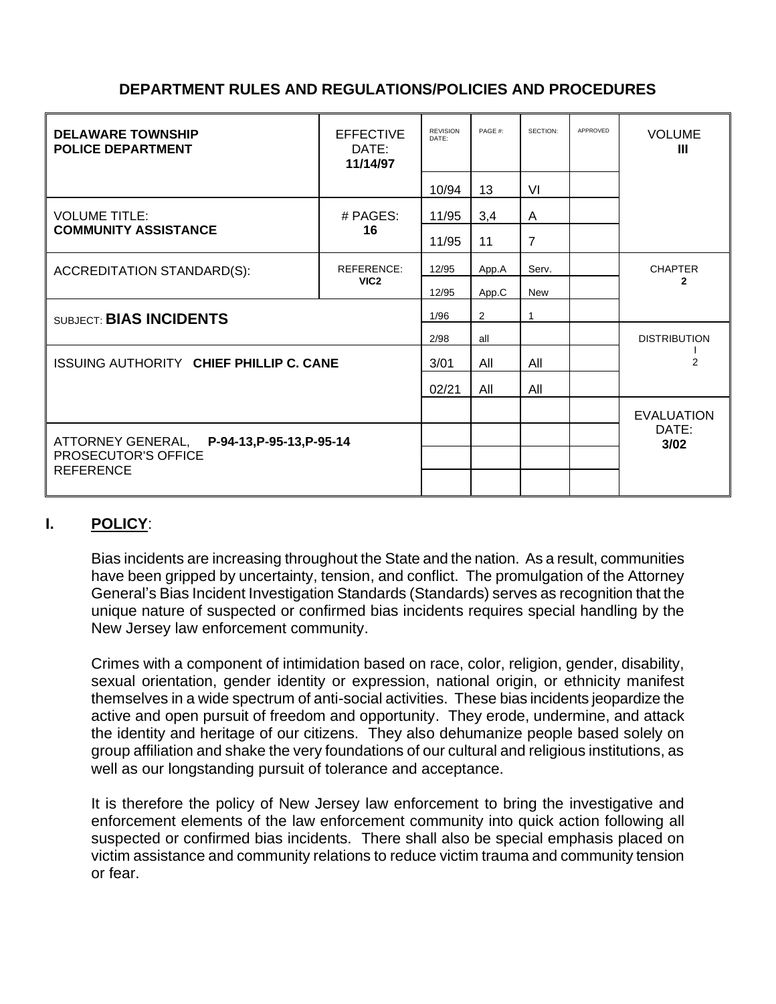# **DEPARTMENT RULES AND REGULATIONS/POLICIES AND PROCEDURES**

| <b>DELAWARE TOWNSHIP</b><br><b>POLICE DEPARTMENT</b> | <b>EFFECTIVE</b><br>DATE:<br>11/14/97 | <b>REVISION</b><br>DATE: | PAGE #: | SECTION:       | APPROVED | <b>VOLUME</b><br>Ш             |
|------------------------------------------------------|---------------------------------------|--------------------------|---------|----------------|----------|--------------------------------|
|                                                      |                                       | 10/94                    | 13      | VI             |          |                                |
| <b>VOLUME TITLE:</b><br><b>COMMUNITY ASSISTANCE</b>  | # PAGES:<br>16                        | 11/95                    | 3,4     | A              |          |                                |
|                                                      |                                       | 11/95                    | 11      | $\overline{7}$ |          |                                |
| ACCREDITATION STANDARD(S):                           | <b>REFERENCE:</b><br>VIC <sub>2</sub> | 12/95                    | App.A   | Serv.          |          | <b>CHAPTER</b><br>$\mathbf{2}$ |
|                                                      |                                       | 12/95                    | App.C   | <b>New</b>     |          |                                |
| SUBJECT: BIAS INCIDENTS                              |                                       | 1/96                     | 2       |                |          |                                |
|                                                      |                                       | 2/98                     | all     |                |          | <b>DISTRIBUTION</b>            |
| ISSUING AUTHORITY CHIEF PHILLIP C. CANE              |                                       | 3/01                     | All     | All            |          | 2                              |
|                                                      |                                       | 02/21                    | All     | All            |          |                                |
|                                                      |                                       |                          |         |                |          | <b>EVALUATION</b>              |
| ATTORNEY GENERAL, P-94-13, P-95-13, P-95-14          |                                       |                          |         |                |          | DATE:<br>3/02                  |
| PROSECUTOR'S OFFICE<br><b>REFERENCE</b>              |                                       |                          |         |                |          |                                |

## **I. POLICY**:

Bias incidents are increasing throughout the State and the nation. As a result, communities have been gripped by uncertainty, tension, and conflict. The promulgation of the Attorney General's Bias Incident Investigation Standards (Standards) serves as recognition that the unique nature of suspected or confirmed bias incidents requires special handling by the New Jersey law enforcement community.

Crimes with a component of intimidation based on race, color, religion, gender, disability, sexual orientation, gender identity or expression, national origin, or ethnicity manifest themselves in a wide spectrum of anti-social activities. These bias incidents jeopardize the active and open pursuit of freedom and opportunity. They erode, undermine, and attack the identity and heritage of our citizens. They also dehumanize people based solely on group affiliation and shake the very foundations of our cultural and religious institutions, as well as our longstanding pursuit of tolerance and acceptance.

It is therefore the policy of New Jersey law enforcement to bring the investigative and enforcement elements of the law enforcement community into quick action following all suspected or confirmed bias incidents. There shall also be special emphasis placed on victim assistance and community relations to reduce victim trauma and community tension or fear.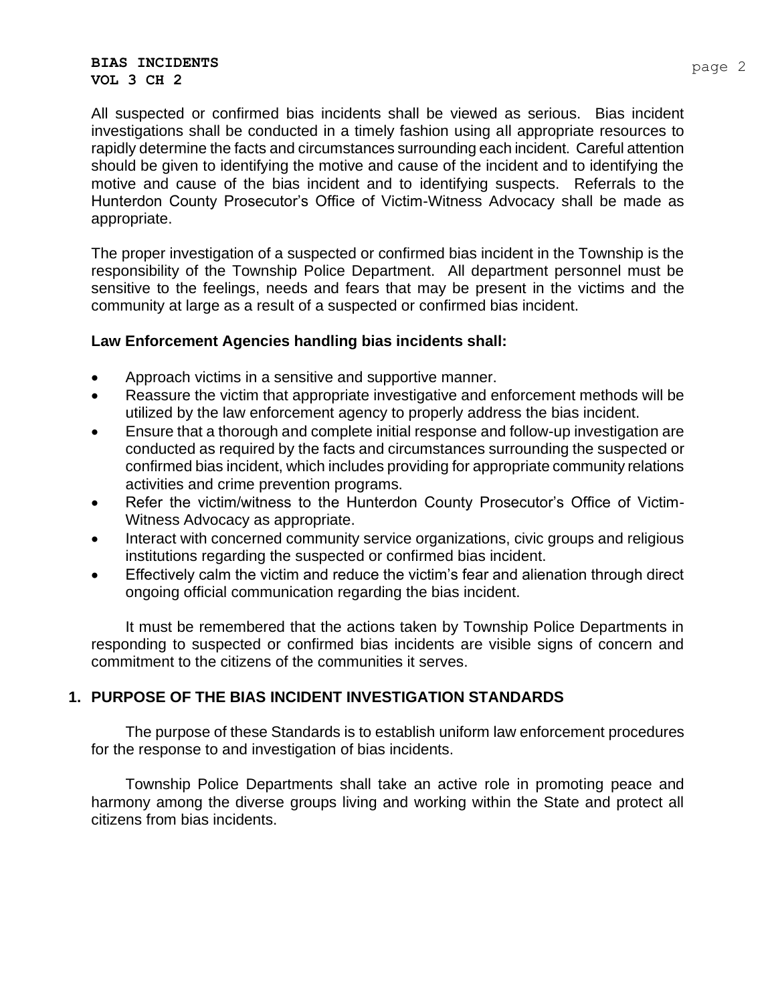#### **BIAS INCIDENTS VOL 3 CH 2**

All suspected or confirmed bias incidents shall be viewed as serious. Bias incident investigations shall be conducted in a timely fashion using all appropriate resources to rapidly determine the facts and circumstances surrounding each incident. Careful attention should be given to identifying the motive and cause of the incident and to identifying the motive and cause of the bias incident and to identifying suspects. Referrals to the Hunterdon County Prosecutor's Office of Victim-Witness Advocacy shall be made as appropriate.

The proper investigation of a suspected or confirmed bias incident in the Township is the responsibility of the Township Police Department. All department personnel must be sensitive to the feelings, needs and fears that may be present in the victims and the community at large as a result of a suspected or confirmed bias incident.

#### **Law Enforcement Agencies handling bias incidents shall:**

- Approach victims in a sensitive and supportive manner.
- Reassure the victim that appropriate investigative and enforcement methods will be utilized by the law enforcement agency to properly address the bias incident.
- Ensure that a thorough and complete initial response and follow-up investigation are conducted as required by the facts and circumstances surrounding the suspected or confirmed bias incident, which includes providing for appropriate community relations activities and crime prevention programs.
- Refer the victim/witness to the Hunterdon County Prosecutor's Office of Victim-Witness Advocacy as appropriate.
- Interact with concerned community service organizations, civic groups and religious institutions regarding the suspected or confirmed bias incident.
- Effectively calm the victim and reduce the victim's fear and alienation through direct ongoing official communication regarding the bias incident.

It must be remembered that the actions taken by Township Police Departments in responding to suspected or confirmed bias incidents are visible signs of concern and commitment to the citizens of the communities it serves.

## **1. PURPOSE OF THE BIAS INCIDENT INVESTIGATION STANDARDS**

The purpose of these Standards is to establish uniform law enforcement procedures for the response to and investigation of bias incidents.

Township Police Departments shall take an active role in promoting peace and harmony among the diverse groups living and working within the State and protect all citizens from bias incidents.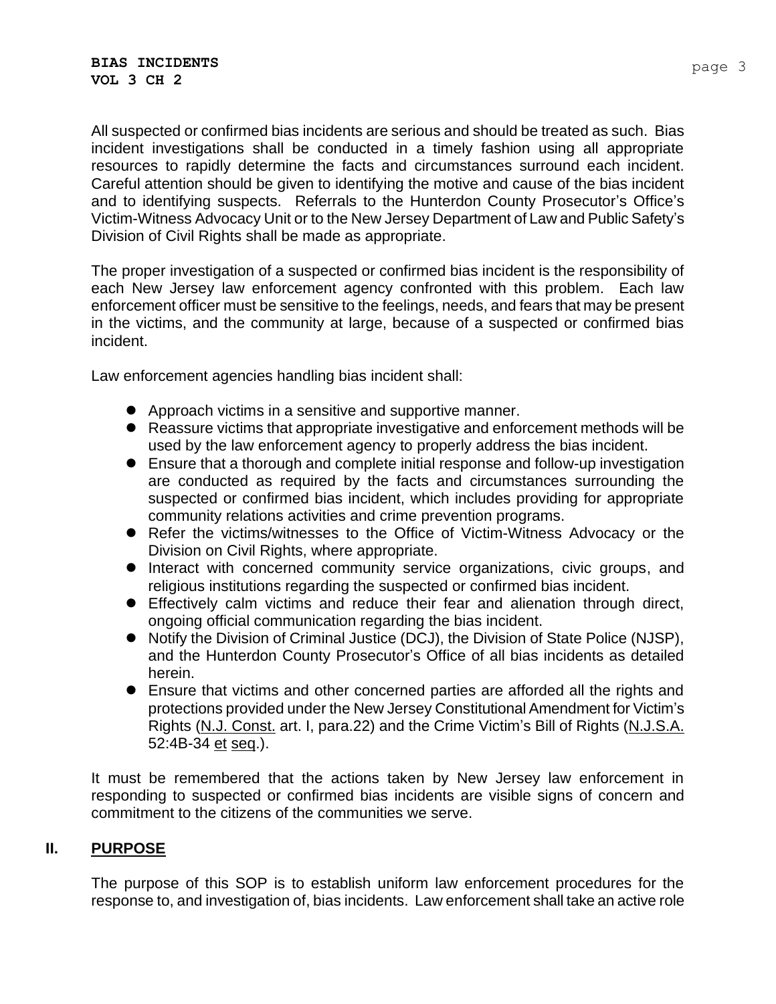All suspected or confirmed bias incidents are serious and should be treated as such. Bias incident investigations shall be conducted in a timely fashion using all appropriate resources to rapidly determine the facts and circumstances surround each incident. Careful attention should be given to identifying the motive and cause of the bias incident and to identifying suspects. Referrals to the Hunterdon County Prosecutor's Office's Victim-Witness Advocacy Unit or to the New Jersey Department of Law and Public Safety's Division of Civil Rights shall be made as appropriate.

The proper investigation of a suspected or confirmed bias incident is the responsibility of each New Jersey law enforcement agency confronted with this problem. Each law enforcement officer must be sensitive to the feelings, needs, and fears that may be present in the victims, and the community at large, because of a suspected or confirmed bias incident.

Law enforcement agencies handling bias incident shall:

- Approach victims in a sensitive and supportive manner.
- Reassure victims that appropriate investigative and enforcement methods will be used by the law enforcement agency to properly address the bias incident.
- Ensure that a thorough and complete initial response and follow-up investigation are conducted as required by the facts and circumstances surrounding the suspected or confirmed bias incident, which includes providing for appropriate community relations activities and crime prevention programs.
- Refer the victims/witnesses to the Office of Victim-Witness Advocacy or the Division on Civil Rights, where appropriate.
- ⚫ Interact with concerned community service organizations, civic groups, and religious institutions regarding the suspected or confirmed bias incident.
- ⚫ Effectively calm victims and reduce their fear and alienation through direct, ongoing official communication regarding the bias incident.
- Notify the Division of Criminal Justice (DCJ), the Division of State Police (NJSP), and the Hunterdon County Prosecutor's Office of all bias incidents as detailed herein.
- Ensure that victims and other concerned parties are afforded all the rights and protections provided under the New Jersey Constitutional Amendment for Victim's Rights (N.J. Const. art. I, para.22) and the Crime Victim's Bill of Rights (N.J.S.A. 52:4B-34 et seq.).

It must be remembered that the actions taken by New Jersey law enforcement in responding to suspected or confirmed bias incidents are visible signs of concern and commitment to the citizens of the communities we serve.

#### **II. PURPOSE**

The purpose of this SOP is to establish uniform law enforcement procedures for the response to, and investigation of, bias incidents. Law enforcement shall take an active role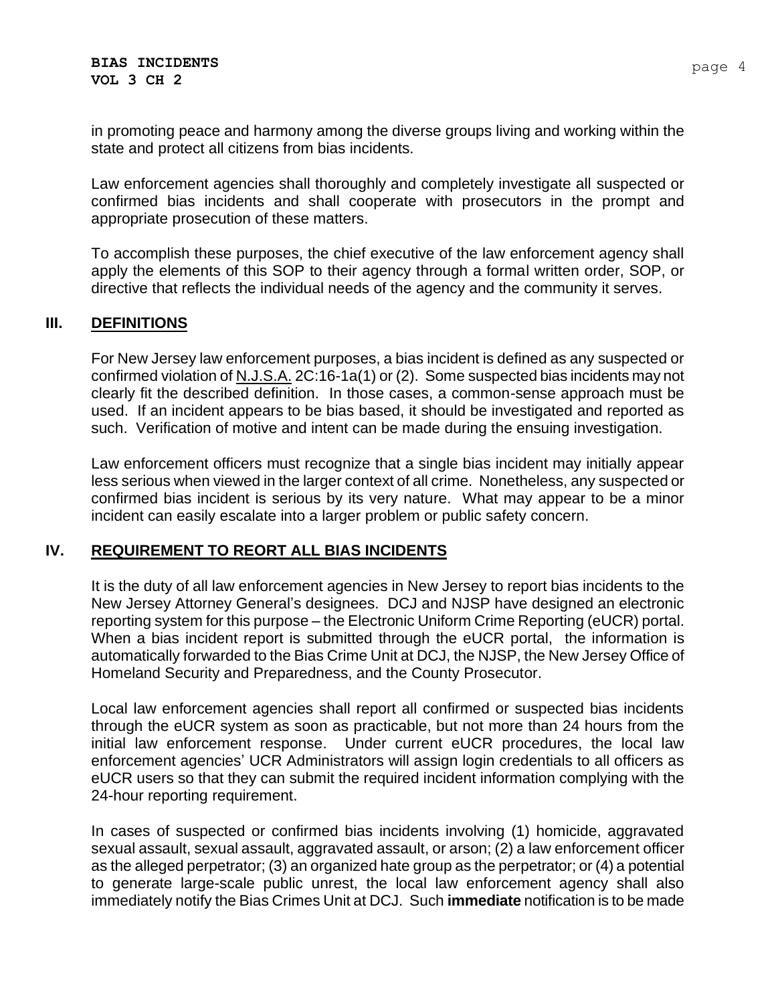in promoting peace and harmony among the diverse groups living and working within the state and protect all citizens from bias incidents.

Law enforcement agencies shall thoroughly and completely investigate all suspected or confirmed bias incidents and shall cooperate with prosecutors in the prompt and appropriate prosecution of these matters.

To accomplish these purposes, the chief executive of the law enforcement agency shall apply the elements of this SOP to their agency through a formal written order, SOP, or directive that reflects the individual needs of the agency and the community it serves.

## **III. DEFINITIONS**

For New Jersey law enforcement purposes, a bias incident is defined as any suspected or confirmed violation of N.J.S.A. 2C:16-1a(1) or (2). Some suspected bias incidents may not clearly fit the described definition. In those cases, a common-sense approach must be used. If an incident appears to be bias based, it should be investigated and reported as such. Verification of motive and intent can be made during the ensuing investigation.

Law enforcement officers must recognize that a single bias incident may initially appear less serious when viewed in the larger context of all crime. Nonetheless, any suspected or confirmed bias incident is serious by its very nature. What may appear to be a minor incident can easily escalate into a larger problem or public safety concern.

#### **IV. REQUIREMENT TO REORT ALL BIAS INCIDENTS**

It is the duty of all law enforcement agencies in New Jersey to report bias incidents to the New Jersey Attorney General's designees. DCJ and NJSP have designed an electronic reporting system for this purpose – the Electronic Uniform Crime Reporting (eUCR) portal. When a bias incident report is submitted through the eUCR portal, the information is automatically forwarded to the Bias Crime Unit at DCJ, the NJSP, the New Jersey Office of Homeland Security and Preparedness, and the County Prosecutor.

Local law enforcement agencies shall report all confirmed or suspected bias incidents through the eUCR system as soon as practicable, but not more than 24 hours from the initial law enforcement response. Under current eUCR procedures, the local law enforcement agencies' UCR Administrators will assign login credentials to all officers as eUCR users so that they can submit the required incident information complying with the 24-hour reporting requirement.

In cases of suspected or confirmed bias incidents involving (1) homicide, aggravated sexual assault, sexual assault, aggravated assault, or arson; (2) a law enforcement officer as the alleged perpetrator; (3) an organized hate group as the perpetrator; or (4) a potential to generate large-scale public unrest, the local law enforcement agency shall also immediately notify the Bias Crimes Unit at DCJ. Such **immediate** notification is to be made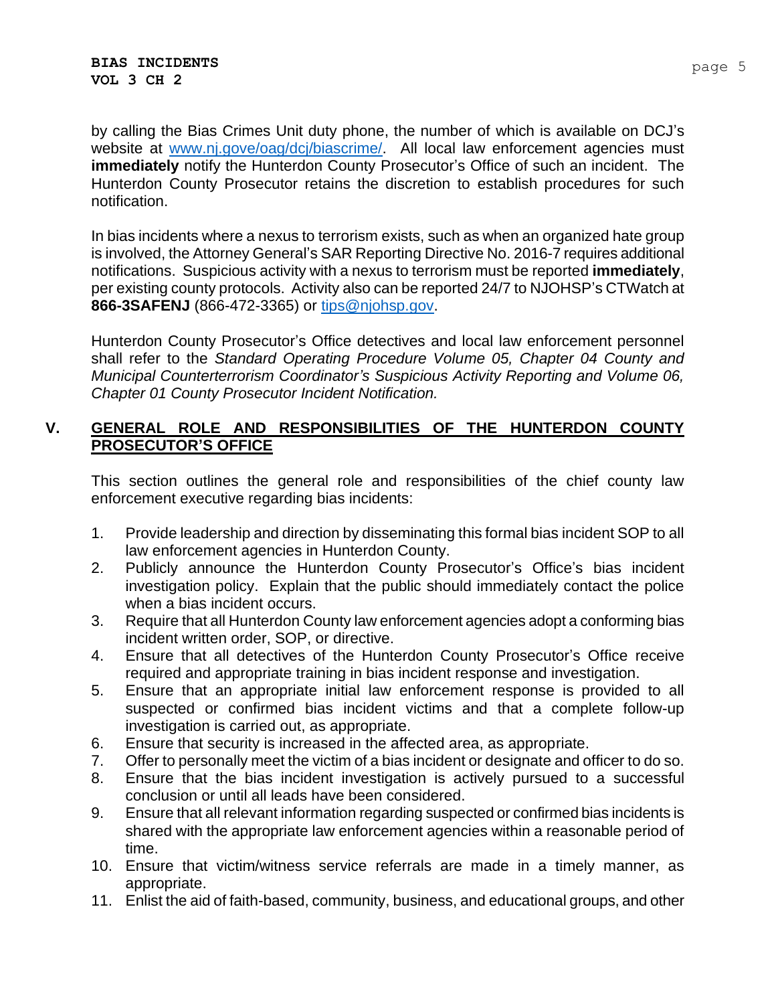by calling the Bias Crimes Unit duty phone, the number of which is available on DCJ's website at [www.nj.gove/oag/dcj/biascrime/.](http://www.nj.gove/oag/dcj/biascrime/) All local law enforcement agencies must **immediately** notify the Hunterdon County Prosecutor's Office of such an incident. The Hunterdon County Prosecutor retains the discretion to establish procedures for such notification.

In bias incidents where a nexus to terrorism exists, such as when an organized hate group is involved, the Attorney General's SAR Reporting Directive No. 2016-7 requires additional notifications. Suspicious activity with a nexus to terrorism must be reported **immediately**, per existing county protocols. Activity also can be reported 24/7 to NJOHSP's CTWatch at **866-3SAFENJ** (866-472-3365) or [tips@njohsp.gov.](mailto:tips@njohsp.gov)

Hunterdon County Prosecutor's Office detectives and local law enforcement personnel shall refer to the *Standard Operating Procedure Volume 05, Chapter 04 County and Municipal Counterterrorism Coordinator's Suspicious Activity Reporting and Volume 06, Chapter 01 County Prosecutor Incident Notification.*

## **V. GENERAL ROLE AND RESPONSIBILITIES OF THE HUNTERDON COUNTY PROSECUTOR'S OFFICE**

This section outlines the general role and responsibilities of the chief county law enforcement executive regarding bias incidents:

- 1. Provide leadership and direction by disseminating this formal bias incident SOP to all law enforcement agencies in Hunterdon County.
- 2. Publicly announce the Hunterdon County Prosecutor's Office's bias incident investigation policy. Explain that the public should immediately contact the police when a bias incident occurs.
- 3. Require that all Hunterdon County law enforcement agencies adopt a conforming bias incident written order, SOP, or directive.
- 4. Ensure that all detectives of the Hunterdon County Prosecutor's Office receive required and appropriate training in bias incident response and investigation.
- 5. Ensure that an appropriate initial law enforcement response is provided to all suspected or confirmed bias incident victims and that a complete follow-up investigation is carried out, as appropriate.
- 6. Ensure that security is increased in the affected area, as appropriate.
- 7. Offer to personally meet the victim of a bias incident or designate and officer to do so.
- 8. Ensure that the bias incident investigation is actively pursued to a successful conclusion or until all leads have been considered.
- 9. Ensure that all relevant information regarding suspected or confirmed bias incidents is shared with the appropriate law enforcement agencies within a reasonable period of time.
- 10. Ensure that victim/witness service referrals are made in a timely manner, as appropriate.
- 11. Enlist the aid of faith-based, community, business, and educational groups, and other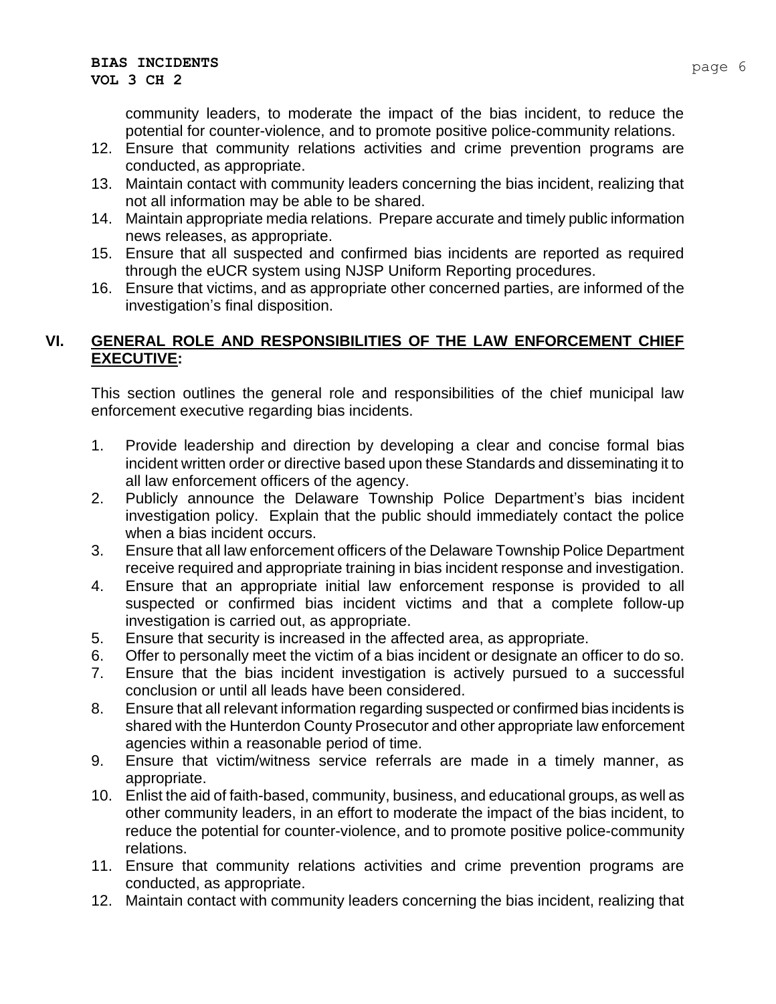community leaders, to moderate the impact of the bias incident, to reduce the potential for counter-violence, and to promote positive police-community relations.

- 12. Ensure that community relations activities and crime prevention programs are conducted, as appropriate.
- 13. Maintain contact with community leaders concerning the bias incident, realizing that not all information may be able to be shared.
- 14. Maintain appropriate media relations. Prepare accurate and timely public information news releases, as appropriate.
- 15. Ensure that all suspected and confirmed bias incidents are reported as required through the eUCR system using NJSP Uniform Reporting procedures.
- 16. Ensure that victims, and as appropriate other concerned parties, are informed of the investigation's final disposition.

## **VI. GENERAL ROLE AND RESPONSIBILITIES OF THE LAW ENFORCEMENT CHIEF EXECUTIVE:**

This section outlines the general role and responsibilities of the chief municipal law enforcement executive regarding bias incidents.

- 1. Provide leadership and direction by developing a clear and concise formal bias incident written order or directive based upon these Standards and disseminating it to all law enforcement officers of the agency.
- 2. Publicly announce the Delaware Township Police Department's bias incident investigation policy. Explain that the public should immediately contact the police when a bias incident occurs.
- 3. Ensure that all law enforcement officers of the Delaware Township Police Department receive required and appropriate training in bias incident response and investigation.
- 4. Ensure that an appropriate initial law enforcement response is provided to all suspected or confirmed bias incident victims and that a complete follow-up investigation is carried out, as appropriate.
- 5. Ensure that security is increased in the affected area, as appropriate.
- 6. Offer to personally meet the victim of a bias incident or designate an officer to do so.
- 7. Ensure that the bias incident investigation is actively pursued to a successful conclusion or until all leads have been considered.
- 8. Ensure that all relevant information regarding suspected or confirmed bias incidents is shared with the Hunterdon County Prosecutor and other appropriate law enforcement agencies within a reasonable period of time.
- 9. Ensure that victim/witness service referrals are made in a timely manner, as appropriate.
- 10. Enlist the aid of faith-based, community, business, and educational groups, as well as other community leaders, in an effort to moderate the impact of the bias incident, to reduce the potential for counter-violence, and to promote positive police-community relations.
- 11. Ensure that community relations activities and crime prevention programs are conducted, as appropriate.
- 12. Maintain contact with community leaders concerning the bias incident, realizing that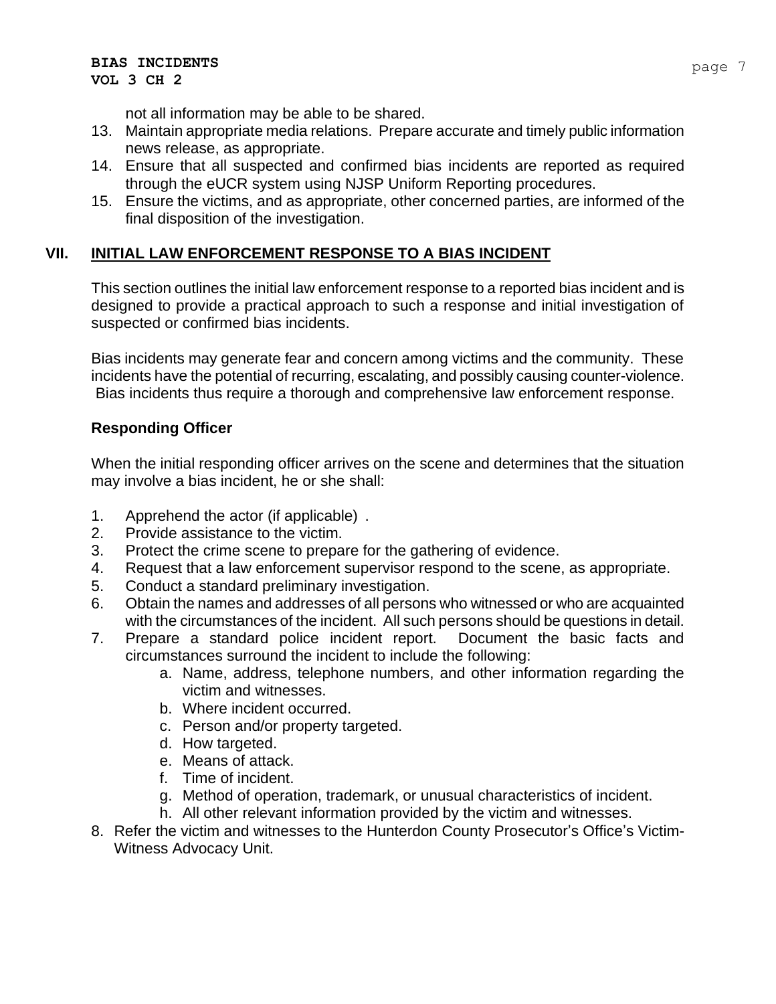not all information may be able to be shared.

- 13. Maintain appropriate media relations. Prepare accurate and timely public information news release, as appropriate.
- 14. Ensure that all suspected and confirmed bias incidents are reported as required through the eUCR system using NJSP Uniform Reporting procedures.
- 15. Ensure the victims, and as appropriate, other concerned parties, are informed of the final disposition of the investigation.

# **VII. INITIAL LAW ENFORCEMENT RESPONSE TO A BIAS INCIDENT**

This section outlines the initial law enforcement response to a reported bias incident and is designed to provide a practical approach to such a response and initial investigation of suspected or confirmed bias incidents.

Bias incidents may generate fear and concern among victims and the community. These incidents have the potential of recurring, escalating, and possibly causing counter-violence. Bias incidents thus require a thorough and comprehensive law enforcement response.

# **Responding Officer**

When the initial responding officer arrives on the scene and determines that the situation may involve a bias incident, he or she shall:

- 1. Apprehend the actor (if applicable) .
- 2. Provide assistance to the victim.
- 3. Protect the crime scene to prepare for the gathering of evidence.
- 4. Request that a law enforcement supervisor respond to the scene, as appropriate.
- 5. Conduct a standard preliminary investigation.
- 6. Obtain the names and addresses of all persons who witnessed or who are acquainted with the circumstances of the incident. All such persons should be questions in detail.
- 7. Prepare a standard police incident report. Document the basic facts and circumstances surround the incident to include the following:
	- a. Name, address, telephone numbers, and other information regarding the victim and witnesses.
	- b. Where incident occurred.
	- c. Person and/or property targeted.
	- d. How targeted.
	- e. Means of attack.
	- f. Time of incident.
	- g. Method of operation, trademark, or unusual characteristics of incident.
	- h. All other relevant information provided by the victim and witnesses.
- 8. Refer the victim and witnesses to the Hunterdon County Prosecutor's Office's Victim-Witness Advocacy Unit.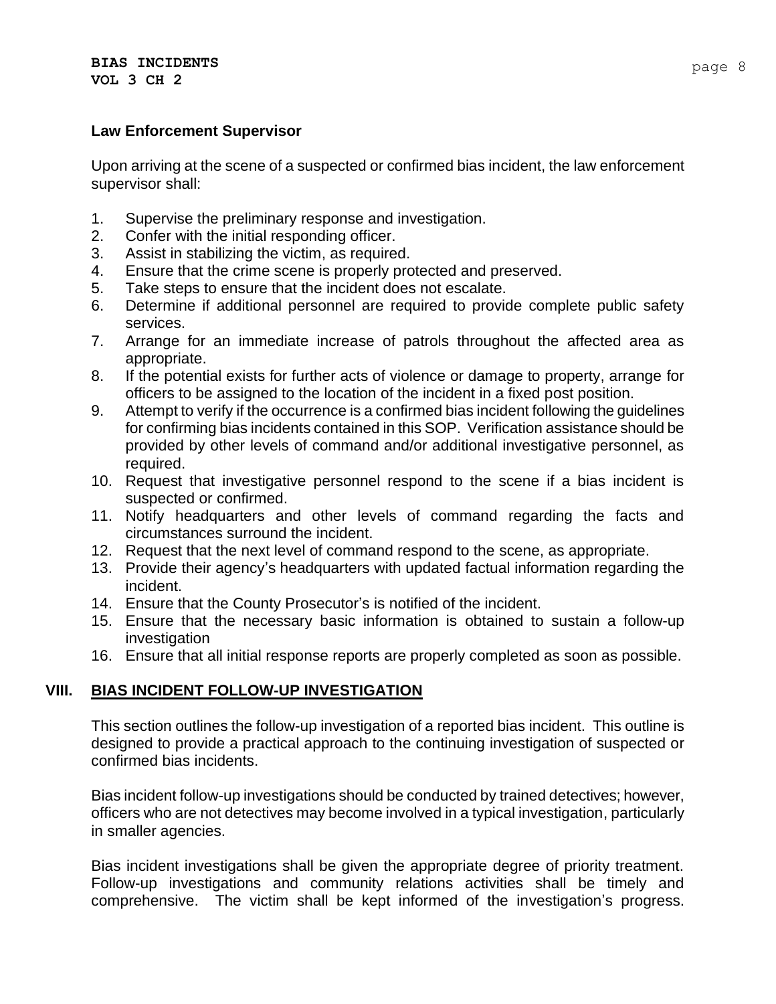#### **Law Enforcement Supervisor**

Upon arriving at the scene of a suspected or confirmed bias incident, the law enforcement supervisor shall:

- 1. Supervise the preliminary response and investigation.
- 2. Confer with the initial responding officer.
- 3. Assist in stabilizing the victim, as required.
- 4. Ensure that the crime scene is properly protected and preserved.
- 5. Take steps to ensure that the incident does not escalate.
- 6. Determine if additional personnel are required to provide complete public safety services.
- 7. Arrange for an immediate increase of patrols throughout the affected area as appropriate.
- 8. If the potential exists for further acts of violence or damage to property, arrange for officers to be assigned to the location of the incident in a fixed post position.
- 9. Attempt to verify if the occurrence is a confirmed bias incident following the guidelines for confirming bias incidents contained in this SOP. Verification assistance should be provided by other levels of command and/or additional investigative personnel, as required.
- 10. Request that investigative personnel respond to the scene if a bias incident is suspected or confirmed.
- 11. Notify headquarters and other levels of command regarding the facts and circumstances surround the incident.
- 12. Request that the next level of command respond to the scene, as appropriate.
- 13. Provide their agency's headquarters with updated factual information regarding the incident.
- 14. Ensure that the County Prosecutor's is notified of the incident.
- 15. Ensure that the necessary basic information is obtained to sustain a follow-up investigation
- 16. Ensure that all initial response reports are properly completed as soon as possible.

## **VIII. BIAS INCIDENT FOLLOW-UP INVESTIGATION**

This section outlines the follow-up investigation of a reported bias incident. This outline is designed to provide a practical approach to the continuing investigation of suspected or confirmed bias incidents.

Bias incident follow-up investigations should be conducted by trained detectives; however, officers who are not detectives may become involved in a typical investigation, particularly in smaller agencies.

Bias incident investigations shall be given the appropriate degree of priority treatment. Follow-up investigations and community relations activities shall be timely and comprehensive. The victim shall be kept informed of the investigation's progress.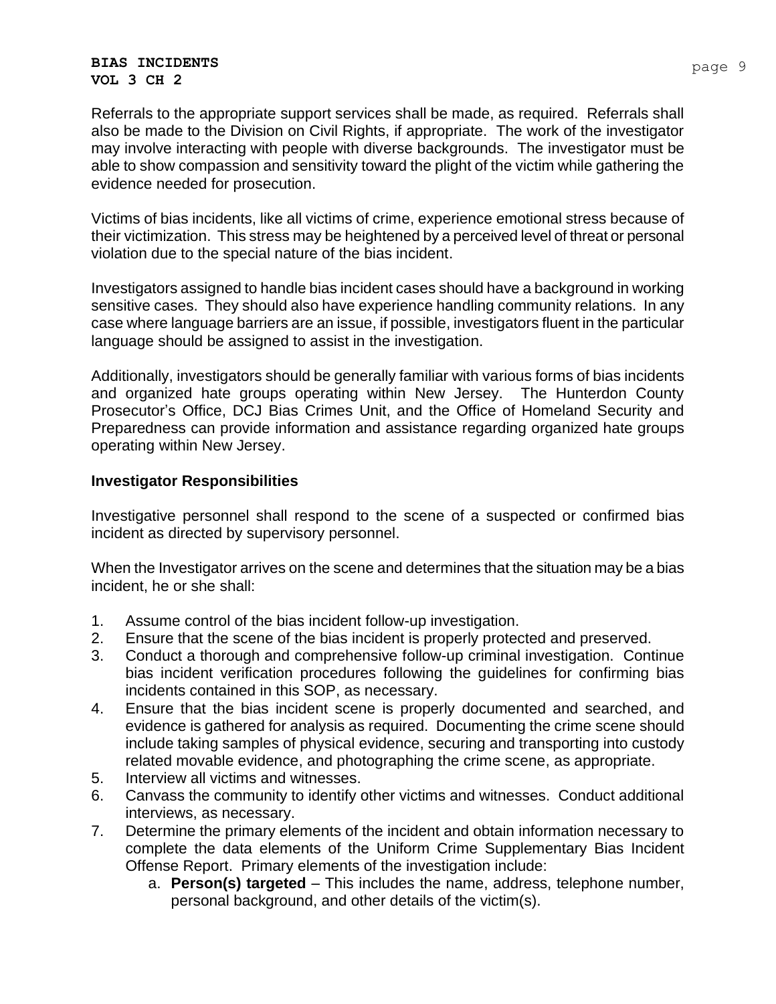#### **BIAS INCIDENTS VOL 3 CH 2**

Referrals to the appropriate support services shall be made, as required. Referrals shall also be made to the Division on Civil Rights, if appropriate. The work of the investigator may involve interacting with people with diverse backgrounds. The investigator must be able to show compassion and sensitivity toward the plight of the victim while gathering the evidence needed for prosecution.

Victims of bias incidents, like all victims of crime, experience emotional stress because of their victimization. This stress may be heightened by a perceived level of threat or personal violation due to the special nature of the bias incident.

Investigators assigned to handle bias incident cases should have a background in working sensitive cases. They should also have experience handling community relations. In any case where language barriers are an issue, if possible, investigators fluent in the particular language should be assigned to assist in the investigation.

Additionally, investigators should be generally familiar with various forms of bias incidents and organized hate groups operating within New Jersey. The Hunterdon County Prosecutor's Office, DCJ Bias Crimes Unit, and the Office of Homeland Security and Preparedness can provide information and assistance regarding organized hate groups operating within New Jersey.

## **Investigator Responsibilities**

Investigative personnel shall respond to the scene of a suspected or confirmed bias incident as directed by supervisory personnel.

When the Investigator arrives on the scene and determines that the situation may be a bias incident, he or she shall:

- 1. Assume control of the bias incident follow-up investigation.
- 2. Ensure that the scene of the bias incident is properly protected and preserved.
- 3. Conduct a thorough and comprehensive follow-up criminal investigation. Continue bias incident verification procedures following the guidelines for confirming bias incidents contained in this SOP, as necessary.
- 4. Ensure that the bias incident scene is properly documented and searched, and evidence is gathered for analysis as required. Documenting the crime scene should include taking samples of physical evidence, securing and transporting into custody related movable evidence, and photographing the crime scene, as appropriate.
- 5. Interview all victims and witnesses.
- 6. Canvass the community to identify other victims and witnesses. Conduct additional interviews, as necessary.
- 7. Determine the primary elements of the incident and obtain information necessary to complete the data elements of the Uniform Crime Supplementary Bias Incident Offense Report. Primary elements of the investigation include:
	- a. **Person(s) targeted** This includes the name, address, telephone number, personal background, and other details of the victim(s).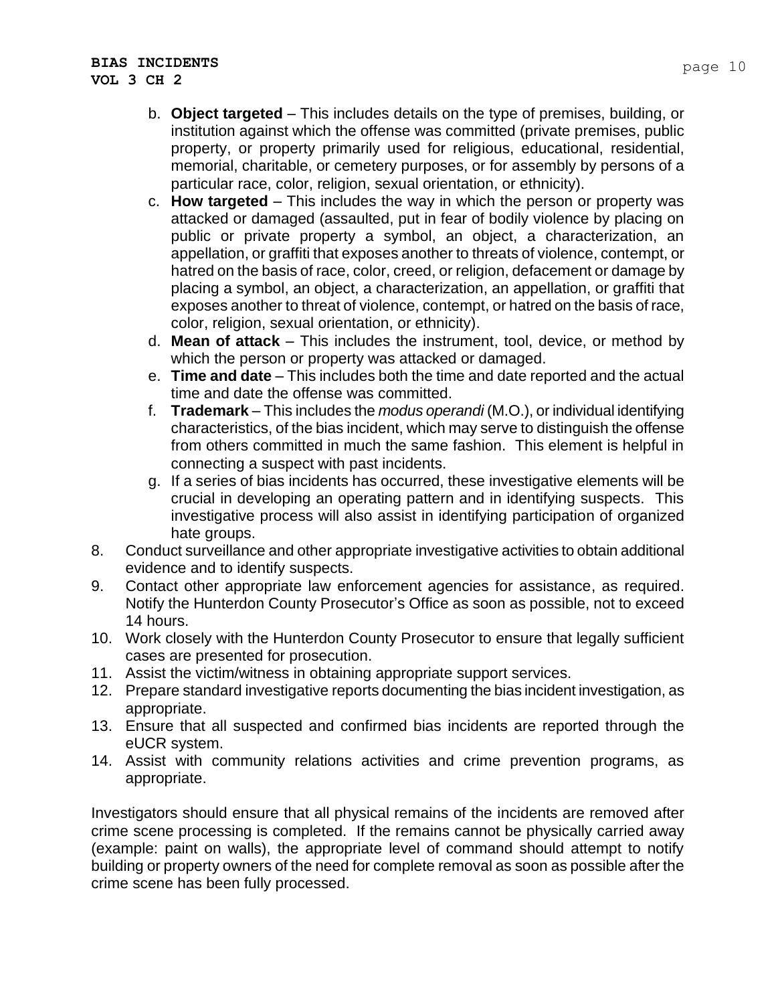- c. **How targeted** This includes the way in which the person or property was attacked or damaged (assaulted, put in fear of bodily violence by placing on public or private property a symbol, an object, a characterization, an appellation, or graffiti that exposes another to threats of violence, contempt, or hatred on the basis of race, color, creed, or religion, defacement or damage by placing a symbol, an object, a characterization, an appellation, or graffiti that exposes another to threat of violence, contempt, or hatred on the basis of race, color, religion, sexual orientation, or ethnicity).
- d. **Mean of attack** This includes the instrument, tool, device, or method by which the person or property was attacked or damaged.
- e. **Time and date** This includes both the time and date reported and the actual time and date the offense was committed.
- f. **Trademark** This includes the *modus operandi* (M.O.), or individual identifying characteristics, of the bias incident, which may serve to distinguish the offense from others committed in much the same fashion. This element is helpful in connecting a suspect with past incidents.
- g. If a series of bias incidents has occurred, these investigative elements will be crucial in developing an operating pattern and in identifying suspects. This investigative process will also assist in identifying participation of organized hate groups.
- 8. Conduct surveillance and other appropriate investigative activities to obtain additional evidence and to identify suspects.
- 9. Contact other appropriate law enforcement agencies for assistance, as required. Notify the Hunterdon County Prosecutor's Office as soon as possible, not to exceed 14 hours.
- 10. Work closely with the Hunterdon County Prosecutor to ensure that legally sufficient cases are presented for prosecution.
- 11. Assist the victim/witness in obtaining appropriate support services.
- 12. Prepare standard investigative reports documenting the bias incident investigation, as appropriate.
- 13. Ensure that all suspected and confirmed bias incidents are reported through the eUCR system.
- 14. Assist with community relations activities and crime prevention programs, as appropriate.

Investigators should ensure that all physical remains of the incidents are removed after crime scene processing is completed. If the remains cannot be physically carried away (example: paint on walls), the appropriate level of command should attempt to notify building or property owners of the need for complete removal as soon as possible after the crime scene has been fully processed.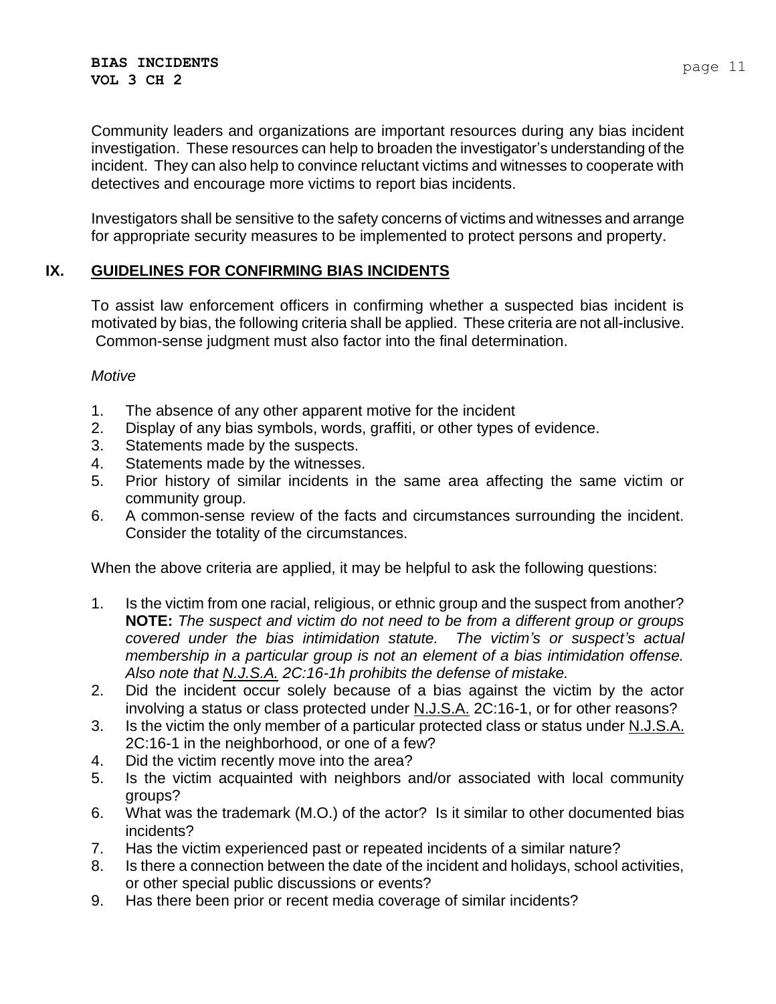Community leaders and organizations are important resources during any bias incident investigation. These resources can help to broaden the investigator's understanding of the incident. They can also help to convince reluctant victims and witnesses to cooperate with detectives and encourage more victims to report bias incidents.

Investigators shall be sensitive to the safety concerns of victims and witnesses and arrange for appropriate security measures to be implemented to protect persons and property.

## **IX. GUIDELINES FOR CONFIRMING BIAS INCIDENTS**

To assist law enforcement officers in confirming whether a suspected bias incident is motivated by bias, the following criteria shall be applied. These criteria are not all-inclusive. Common-sense judgment must also factor into the final determination.

#### *Motive*

- 1. The absence of any other apparent motive for the incident
- 2. Display of any bias symbols, words, graffiti, or other types of evidence.
- 3. Statements made by the suspects.
- 4. Statements made by the witnesses.
- 5. Prior history of similar incidents in the same area affecting the same victim or community group.
- 6. A common-sense review of the facts and circumstances surrounding the incident. Consider the totality of the circumstances.

When the above criteria are applied, it may be helpful to ask the following questions:

- 1. Is the victim from one racial, religious, or ethnic group and the suspect from another? **NOTE:** *The suspect and victim do not need to be from a different group or groups covered under the bias intimidation statute. The victim's or suspect's actual membership in a particular group is not an element of a bias intimidation offense. Also note that N.J.S.A. 2C:16-1h prohibits the defense of mistake.*
- 2. Did the incident occur solely because of a bias against the victim by the actor involving a status or class protected under N.J.S.A. 2C:16-1, or for other reasons?
- 3. Is the victim the only member of a particular protected class or status under N.J.S.A. 2C:16-1 in the neighborhood, or one of a few?
- 4. Did the victim recently move into the area?
- 5. Is the victim acquainted with neighbors and/or associated with local community groups?
- 6. What was the trademark (M.O.) of the actor? Is it similar to other documented bias incidents?
- 7. Has the victim experienced past or repeated incidents of a similar nature?
- 8. Is there a connection between the date of the incident and holidays, school activities, or other special public discussions or events?
- 9. Has there been prior or recent media coverage of similar incidents?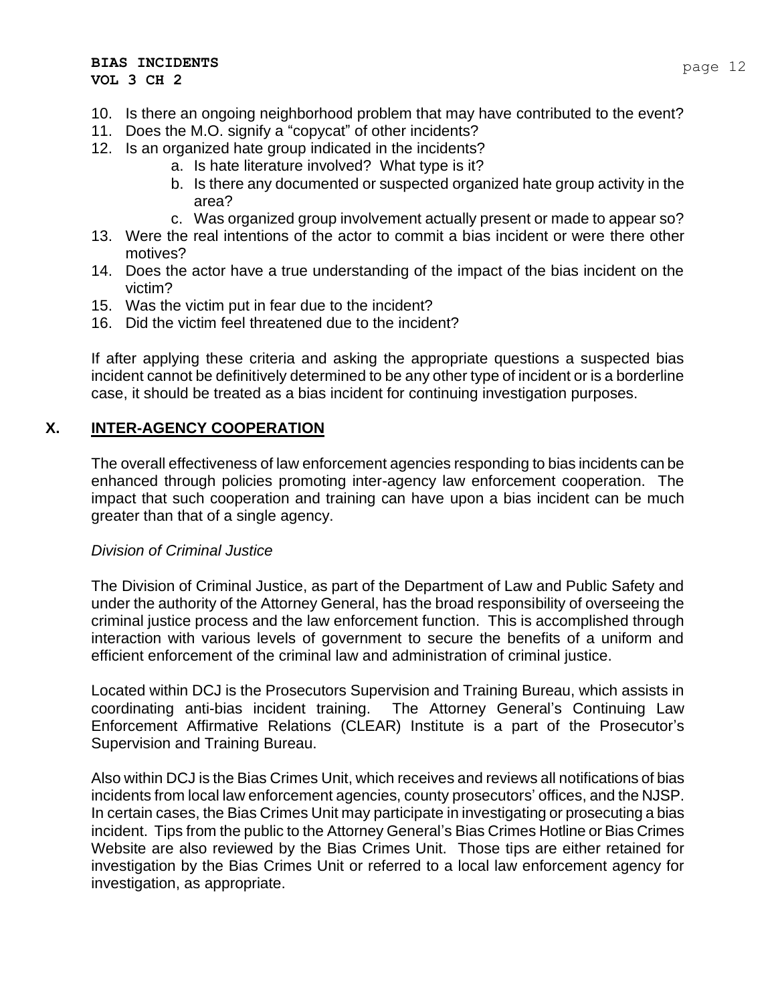- 10. Is there an ongoing neighborhood problem that may have contributed to the event?
- 11. Does the M.O. signify a "copycat" of other incidents?
- 12. Is an organized hate group indicated in the incidents?
	- a. Is hate literature involved? What type is it?
	- b. Is there any documented or suspected organized hate group activity in the area?
	- c. Was organized group involvement actually present or made to appear so?
- 13. Were the real intentions of the actor to commit a bias incident or were there other motives?
- 14. Does the actor have a true understanding of the impact of the bias incident on the victim?
- 15. Was the victim put in fear due to the incident?
- 16. Did the victim feel threatened due to the incident?

If after applying these criteria and asking the appropriate questions a suspected bias incident cannot be definitively determined to be any other type of incident or is a borderline case, it should be treated as a bias incident for continuing investigation purposes.

## **X. INTER-AGENCY COOPERATION**

The overall effectiveness of law enforcement agencies responding to bias incidents can be enhanced through policies promoting inter-agency law enforcement cooperation. The impact that such cooperation and training can have upon a bias incident can be much greater than that of a single agency.

#### *Division of Criminal Justice*

The Division of Criminal Justice, as part of the Department of Law and Public Safety and under the authority of the Attorney General, has the broad responsibility of overseeing the criminal justice process and the law enforcement function. This is accomplished through interaction with various levels of government to secure the benefits of a uniform and efficient enforcement of the criminal law and administration of criminal justice.

Located within DCJ is the Prosecutors Supervision and Training Bureau, which assists in coordinating anti-bias incident training. The Attorney General's Continuing Law Enforcement Affirmative Relations (CLEAR) Institute is a part of the Prosecutor's Supervision and Training Bureau.

Also within DCJ is the Bias Crimes Unit, which receives and reviews all notifications of bias incidents from local law enforcement agencies, county prosecutors' offices, and the NJSP. In certain cases, the Bias Crimes Unit may participate in investigating or prosecuting a bias incident. Tips from the public to the Attorney General's Bias Crimes Hotline or Bias Crimes Website are also reviewed by the Bias Crimes Unit. Those tips are either retained for investigation by the Bias Crimes Unit or referred to a local law enforcement agency for investigation, as appropriate.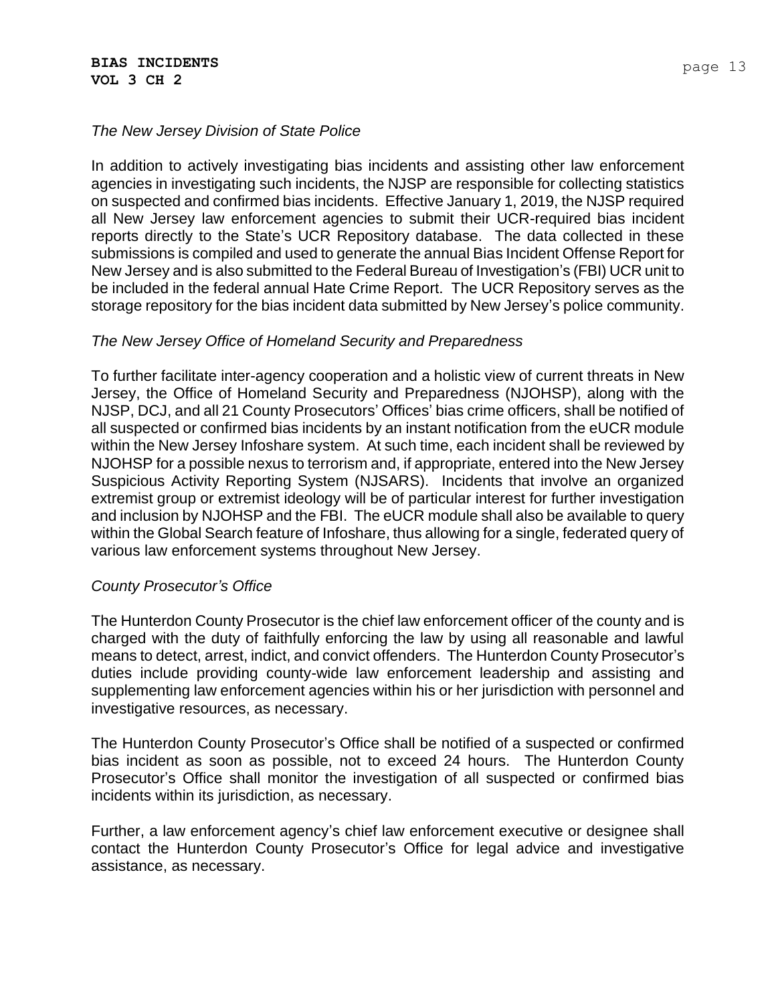## *The New Jersey Division of State Police*

In addition to actively investigating bias incidents and assisting other law enforcement agencies in investigating such incidents, the NJSP are responsible for collecting statistics on suspected and confirmed bias incidents. Effective January 1, 2019, the NJSP required all New Jersey law enforcement agencies to submit their UCR-required bias incident reports directly to the State's UCR Repository database. The data collected in these submissions is compiled and used to generate the annual Bias Incident Offense Report for New Jersey and is also submitted to the Federal Bureau of Investigation's (FBI) UCR unit to be included in the federal annual Hate Crime Report. The UCR Repository serves as the storage repository for the bias incident data submitted by New Jersey's police community.

#### *The New Jersey Office of Homeland Security and Preparedness*

To further facilitate inter-agency cooperation and a holistic view of current threats in New Jersey, the Office of Homeland Security and Preparedness (NJOHSP), along with the NJSP, DCJ, and all 21 County Prosecutors' Offices' bias crime officers, shall be notified of all suspected or confirmed bias incidents by an instant notification from the eUCR module within the New Jersey Infoshare system. At such time, each incident shall be reviewed by NJOHSP for a possible nexus to terrorism and, if appropriate, entered into the New Jersey Suspicious Activity Reporting System (NJSARS). Incidents that involve an organized extremist group or extremist ideology will be of particular interest for further investigation and inclusion by NJOHSP and the FBI. The eUCR module shall also be available to query within the Global Search feature of Infoshare, thus allowing for a single, federated query of various law enforcement systems throughout New Jersey.

#### *County Prosecutor's Office*

The Hunterdon County Prosecutor is the chief law enforcement officer of the county and is charged with the duty of faithfully enforcing the law by using all reasonable and lawful means to detect, arrest, indict, and convict offenders. The Hunterdon County Prosecutor's duties include providing county-wide law enforcement leadership and assisting and supplementing law enforcement agencies within his or her jurisdiction with personnel and investigative resources, as necessary.

The Hunterdon County Prosecutor's Office shall be notified of a suspected or confirmed bias incident as soon as possible, not to exceed 24 hours. The Hunterdon County Prosecutor's Office shall monitor the investigation of all suspected or confirmed bias incidents within its jurisdiction, as necessary.

Further, a law enforcement agency's chief law enforcement executive or designee shall contact the Hunterdon County Prosecutor's Office for legal advice and investigative assistance, as necessary.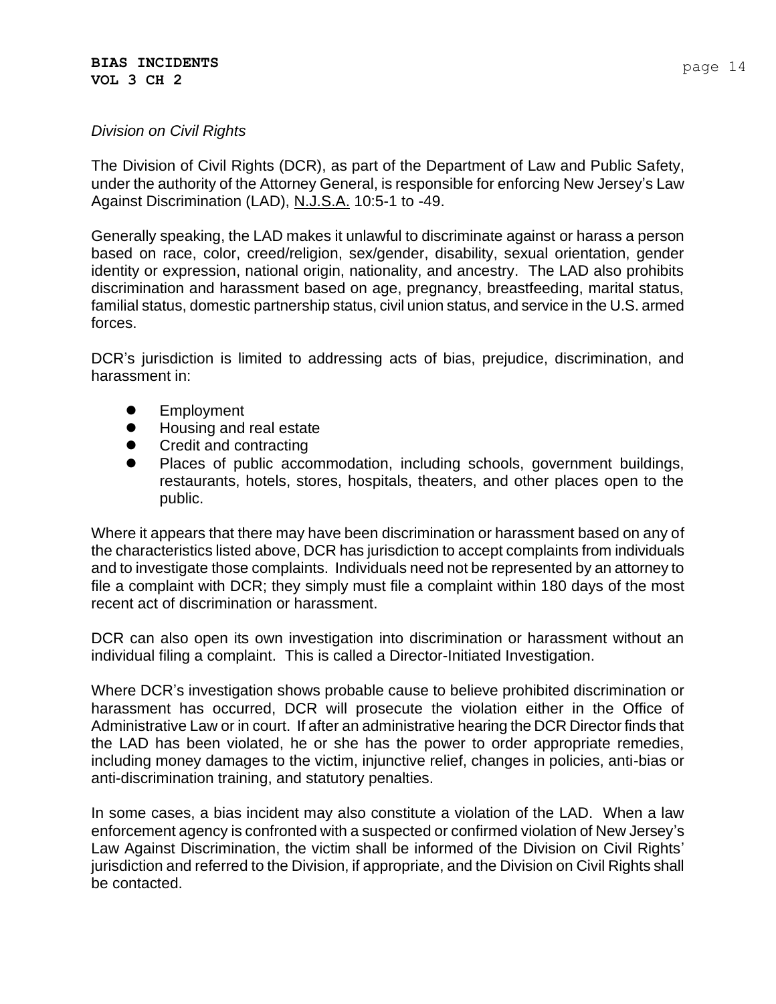The Division of Civil Rights (DCR), as part of the Department of Law and Public Safety, under the authority of the Attorney General, is responsible for enforcing New Jersey's Law Against Discrimination (LAD), N.J.S.A. 10:5-1 to -49.

Generally speaking, the LAD makes it unlawful to discriminate against or harass a person based on race, color, creed/religion, sex/gender, disability, sexual orientation, gender identity or expression, national origin, nationality, and ancestry. The LAD also prohibits discrimination and harassment based on age, pregnancy, breastfeeding, marital status, familial status, domestic partnership status, civil union status, and service in the U.S. armed forces.

DCR's jurisdiction is limited to addressing acts of bias, prejudice, discrimination, and harassment in:

- Employment
- Housing and real estate
- ⚫ Credit and contracting
- ⚫ Places of public accommodation, including schools, government buildings, restaurants, hotels, stores, hospitals, theaters, and other places open to the public.

Where it appears that there may have been discrimination or harassment based on any of the characteristics listed above, DCR has jurisdiction to accept complaints from individuals and to investigate those complaints. Individuals need not be represented by an attorney to file a complaint with DCR; they simply must file a complaint within 180 days of the most recent act of discrimination or harassment.

DCR can also open its own investigation into discrimination or harassment without an individual filing a complaint. This is called a Director-Initiated Investigation.

Where DCR's investigation shows probable cause to believe prohibited discrimination or harassment has occurred, DCR will prosecute the violation either in the Office of Administrative Law or in court. If after an administrative hearing the DCR Director finds that the LAD has been violated, he or she has the power to order appropriate remedies, including money damages to the victim, injunctive relief, changes in policies, anti-bias or anti-discrimination training, and statutory penalties.

In some cases, a bias incident may also constitute a violation of the LAD. When a law enforcement agency is confronted with a suspected or confirmed violation of New Jersey's Law Against Discrimination, the victim shall be informed of the Division on Civil Rights' jurisdiction and referred to the Division, if appropriate, and the Division on Civil Rights shall be contacted.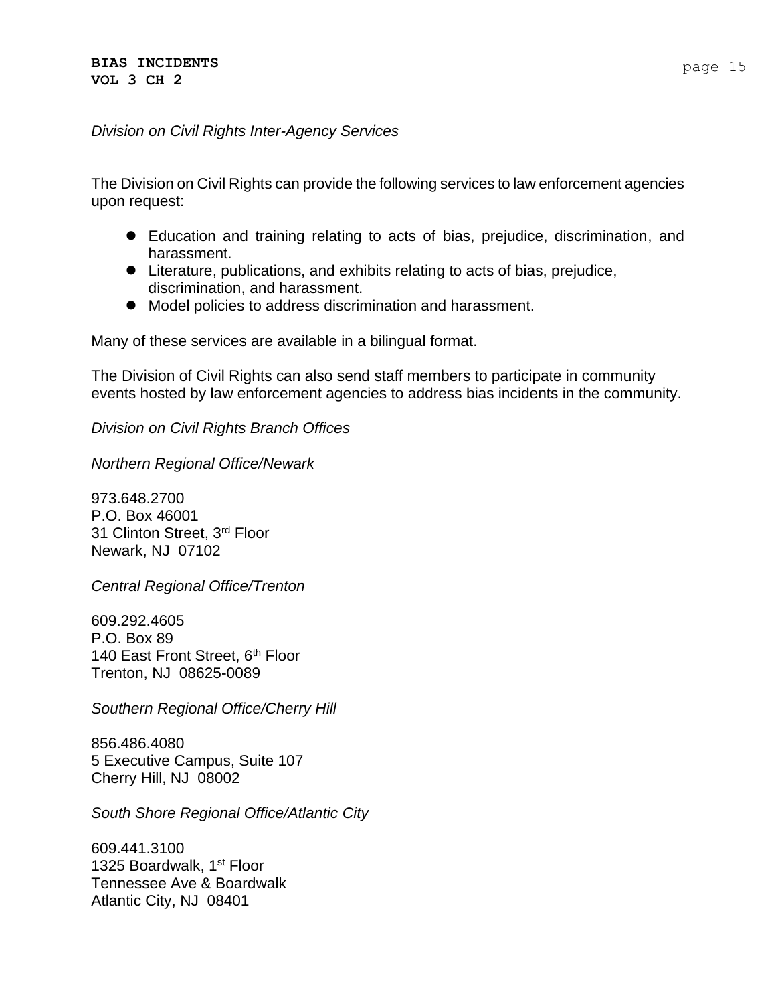#### *Division on Civil Rights Inter-Agency Services*

The Division on Civil Rights can provide the following services to law enforcement agencies upon request:

- ⚫ Education and training relating to acts of bias, prejudice, discrimination, and harassment.
- Literature, publications, and exhibits relating to acts of bias, prejudice, discrimination, and harassment.
- ⚫ Model policies to address discrimination and harassment.

Many of these services are available in a bilingual format.

The Division of Civil Rights can also send staff members to participate in community events hosted by law enforcement agencies to address bias incidents in the community.

*Division on Civil Rights Branch Offices*

*Northern Regional Office/Newark*

973.648.2700 P.O. Box 46001 31 Clinton Street, 3rd Floor Newark, NJ 07102

*Central Regional Office/Trenton*

609.292.4605 P.O. Box 89 140 East Front Street, 6<sup>th</sup> Floor Trenton, NJ 08625-0089

*Southern Regional Office/Cherry Hill*

856.486.4080 5 Executive Campus, Suite 107 Cherry Hill, NJ 08002

*South Shore Regional Office/Atlantic City*

609.441.3100 1325 Boardwalk, 1<sup>st</sup> Floor Tennessee Ave & Boardwalk Atlantic City, NJ 08401